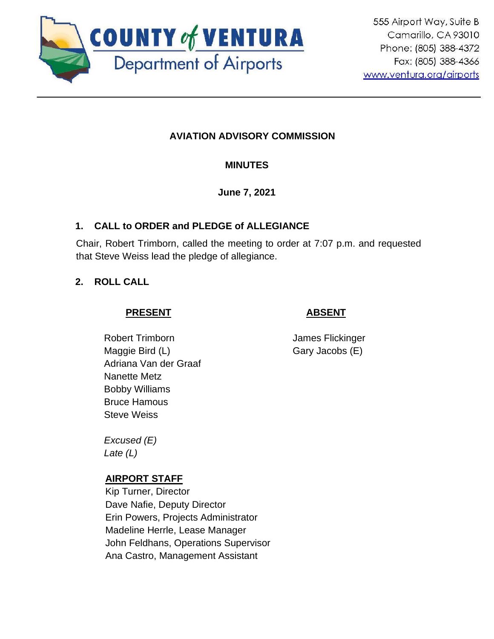

# **AVIATION ADVISORY COMMISSION**

### **MINUTES**

**June 7, 2021**

### **1. CALL to ORDER and PLEDGE of ALLEGIANCE**

Chair, Robert Trimborn, called the meeting to order at 7:07 p.m. and requested that Steve Weiss lead the pledge of allegiance.

# **2. ROLL CALL**

# **PRESENT**

# **ABSENT**

Robert Trimborn Maggie Bird (L) Adriana Van der Graaf Nanette Metz Bobby Williams Bruce Hamous Steve Weiss

James Flickinger Gary Jacobs (E)

*Excused (E) Late (L)*

### **AIRPORT STAFF**

Kip Turner, Director Dave Nafie, Deputy Director Erin Powers, Projects Administrator Madeline Herrle, Lease Manager John Feldhans, Operations Supervisor Ana Castro, Management Assistant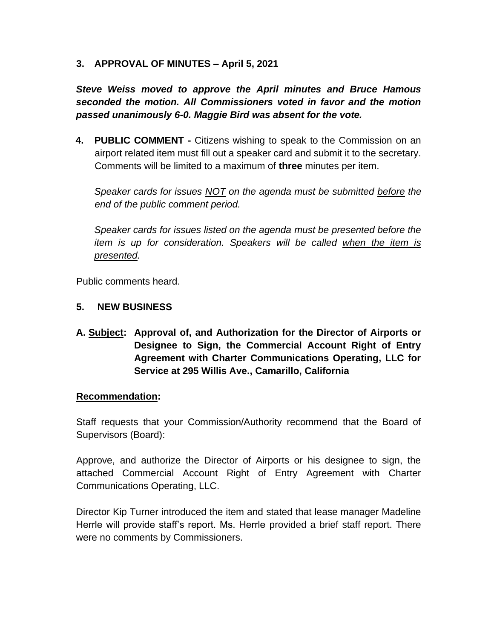**3. APPROVAL OF MINUTES – April 5, 2021**

*Steve Weiss moved to approve the April minutes and Bruce Hamous seconded the motion. All Commissioners voted in favor and the motion passed unanimously 6-0. Maggie Bird was absent for the vote.* 

**4. PUBLIC COMMENT -** Citizens wishing to speak to the Commission on an airport related item must fill out a speaker card and submit it to the secretary. Comments will be limited to a maximum of **three** minutes per item.

*Speaker cards for issues NOT on the agenda must be submitted before the end of the public comment period.* 

*Speaker cards for issues listed on the agenda must be presented before the item is up for consideration. Speakers will be called when the item is presented.*

Public comments heard.

#### **5. NEW BUSINESS**

**A. Subject: Approval of, and Authorization for the Director of Airports or Designee to Sign, the Commercial Account Right of Entry Agreement with Charter Communications Operating, LLC for Service at 295 Willis Ave., Camarillo, California**

#### **Recommendation:**

Staff requests that your Commission/Authority recommend that the Board of Supervisors (Board):

Approve, and authorize the Director of Airports or his designee to sign, the attached Commercial Account Right of Entry Agreement with Charter Communications Operating, LLC.

Director Kip Turner introduced the item and stated that lease manager Madeline Herrle will provide staff's report. Ms. Herrle provided a brief staff report. There were no comments by Commissioners.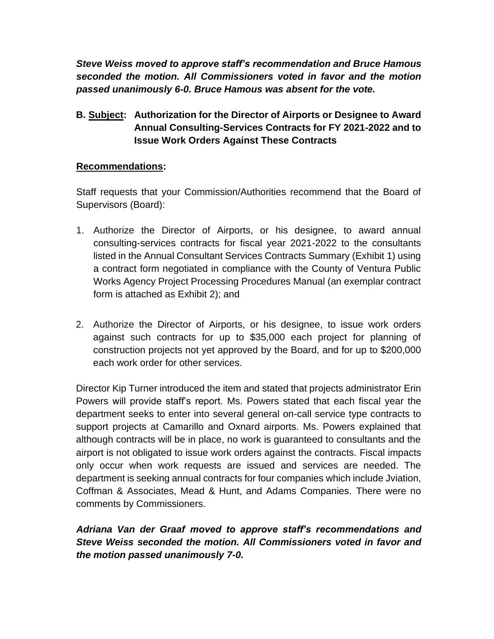*Steve Weiss moved to approve staff's recommendation and Bruce Hamous seconded the motion. All Commissioners voted in favor and the motion passed unanimously 6-0. Bruce Hamous was absent for the vote.* 

### **B. Subject: Authorization for the Director of Airports or Designee to Award Annual Consulting-Services Contracts for FY 2021-2022 and to Issue Work Orders Against These Contracts**

#### **Recommendations:**

Staff requests that your Commission/Authorities recommend that the Board of Supervisors (Board):

- 1. Authorize the Director of Airports, or his designee, to award annual consulting-services contracts for fiscal year 2021-2022 to the consultants listed in the Annual Consultant Services Contracts Summary (Exhibit 1) using a contract form negotiated in compliance with the County of Ventura Public Works Agency Project Processing Procedures Manual (an exemplar contract form is attached as Exhibit 2); and
- 2. Authorize the Director of Airports, or his designee, to issue work orders against such contracts for up to \$35,000 each project for planning of construction projects not yet approved by the Board, and for up to \$200,000 each work order for other services.

Director Kip Turner introduced the item and stated that projects administrator Erin Powers will provide staff's report. Ms. Powers stated that each fiscal year the department seeks to enter into several general on-call service type contracts to support projects at Camarillo and Oxnard airports. Ms. Powers explained that although contracts will be in place, no work is guaranteed to consultants and the airport is not obligated to issue work orders against the contracts. Fiscal impacts only occur when work requests are issued and services are needed. The department is seeking annual contracts for four companies which include Jviation, Coffman & Associates, Mead & Hunt, and Adams Companies. There were no comments by Commissioners.

*Adriana Van der Graaf moved to approve staff's recommendations and Steve Weiss seconded the motion. All Commissioners voted in favor and the motion passed unanimously 7-0.*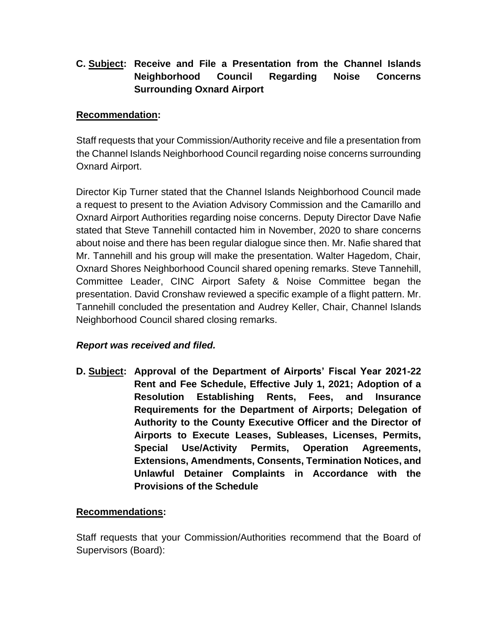# **C. Subject: Receive and File a Presentation from the Channel Islands Neighborhood Council Regarding Noise Concerns Surrounding Oxnard Airport**

### **Recommendation:**

Staff requests that your Commission/Authority receive and file a presentation from the Channel Islands Neighborhood Council regarding noise concerns surrounding Oxnard Airport.

Director Kip Turner stated that the Channel Islands Neighborhood Council made a request to present to the Aviation Advisory Commission and the Camarillo and Oxnard Airport Authorities regarding noise concerns. Deputy Director Dave Nafie stated that Steve Tannehill contacted him in November, 2020 to share concerns about noise and there has been regular dialogue since then. Mr. Nafie shared that Mr. Tannehill and his group will make the presentation. Walter Hagedom, Chair, Oxnard Shores Neighborhood Council shared opening remarks. Steve Tannehill, Committee Leader, CINC Airport Safety & Noise Committee began the presentation. David Cronshaw reviewed a specific example of a flight pattern. Mr. Tannehill concluded the presentation and Audrey Keller, Chair, Channel Islands Neighborhood Council shared closing remarks.

### *Report was received and filed.*

**D. Subject: Approval of the Department of Airports' Fiscal Year 2021-22 Rent and Fee Schedule, Effective July 1, 2021; Adoption of a Resolution Establishing Rents, Fees, and Insurance Requirements for the Department of Airports; Delegation of Authority to the County Executive Officer and the Director of Airports to Execute Leases, Subleases, Licenses, Permits, Special Use/Activity Permits, Operation Agreements, Extensions, Amendments, Consents, Termination Notices, and Unlawful Detainer Complaints in Accordance with the Provisions of the Schedule**

### **Recommendations:**

Staff requests that your Commission/Authorities recommend that the Board of Supervisors (Board):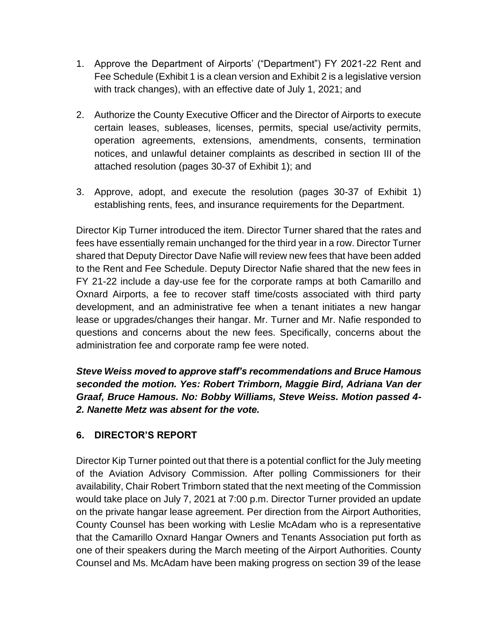- 1. Approve the Department of Airports' ("Department") FY 2021-22 Rent and Fee Schedule (Exhibit 1 is a clean version and Exhibit 2 is a legislative version with track changes), with an effective date of July 1, 2021; and
- 2. Authorize the County Executive Officer and the Director of Airports to execute certain leases, subleases, licenses, permits, special use/activity permits, operation agreements, extensions, amendments, consents, termination notices, and unlawful detainer complaints as described in section III of the attached resolution (pages 30-37 of Exhibit 1); and
- 3. Approve, adopt, and execute the resolution (pages 30-37 of Exhibit 1) establishing rents, fees, and insurance requirements for the Department.

Director Kip Turner introduced the item. Director Turner shared that the rates and fees have essentially remain unchanged for the third year in a row. Director Turner shared that Deputy Director Dave Nafie will review new fees that have been added to the Rent and Fee Schedule. Deputy Director Nafie shared that the new fees in FY 21-22 include a day-use fee for the corporate ramps at both Camarillo and Oxnard Airports, a fee to recover staff time/costs associated with third party development, and an administrative fee when a tenant initiates a new hangar lease or upgrades/changes their hangar. Mr. Turner and Mr. Nafie responded to questions and concerns about the new fees. Specifically, concerns about the administration fee and corporate ramp fee were noted.

*Steve Weiss moved to approve staff's recommendations and Bruce Hamous seconded the motion. Yes: Robert Trimborn, Maggie Bird, Adriana Van der Graaf, Bruce Hamous. No: Bobby Williams, Steve Weiss. Motion passed 4- 2. Nanette Metz was absent for the vote.* 

### **6. DIRECTOR'S REPORT**

Director Kip Turner pointed out that there is a potential conflict for the July meeting of the Aviation Advisory Commission. After polling Commissioners for their availability, Chair Robert Trimborn stated that the next meeting of the Commission would take place on July 7, 2021 at 7:00 p.m. Director Turner provided an update on the private hangar lease agreement. Per direction from the Airport Authorities, County Counsel has been working with Leslie McAdam who is a representative that the Camarillo Oxnard Hangar Owners and Tenants Association put forth as one of their speakers during the March meeting of the Airport Authorities. County Counsel and Ms. McAdam have been making progress on section 39 of the lease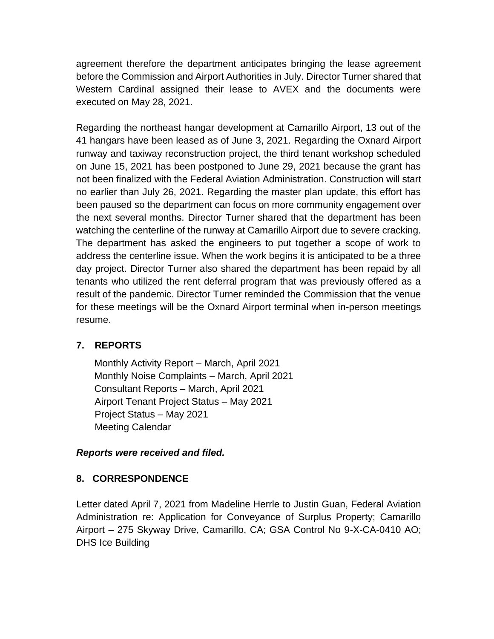agreement therefore the department anticipates bringing the lease agreement before the Commission and Airport Authorities in July. Director Turner shared that Western Cardinal assigned their lease to AVEX and the documents were executed on May 28, 2021.

Regarding the northeast hangar development at Camarillo Airport, 13 out of the 41 hangars have been leased as of June 3, 2021. Regarding the Oxnard Airport runway and taxiway reconstruction project, the third tenant workshop scheduled on June 15, 2021 has been postponed to June 29, 2021 because the grant has not been finalized with the Federal Aviation Administration. Construction will start no earlier than July 26, 2021. Regarding the master plan update, this effort has been paused so the department can focus on more community engagement over the next several months. Director Turner shared that the department has been watching the centerline of the runway at Camarillo Airport due to severe cracking. The department has asked the engineers to put together a scope of work to address the centerline issue. When the work begins it is anticipated to be a three day project. Director Turner also shared the department has been repaid by all tenants who utilized the rent deferral program that was previously offered as a result of the pandemic. Director Turner reminded the Commission that the venue for these meetings will be the Oxnard Airport terminal when in-person meetings resume.

# **7. REPORTS**

Monthly Activity Report – March, April 2021 Monthly Noise Complaints – March, April 2021 Consultant Reports – March, April 2021 Airport Tenant Project Status – May 2021 Project Status – May 2021 Meeting Calendar

### *Reports were received and filed.*

# **8. CORRESPONDENCE**

Letter dated April 7, 2021 from Madeline Herrle to Justin Guan, Federal Aviation Administration re: Application for Conveyance of Surplus Property; Camarillo Airport – 275 Skyway Drive, Camarillo, CA; GSA Control No 9-X-CA-0410 AO; DHS Ice Building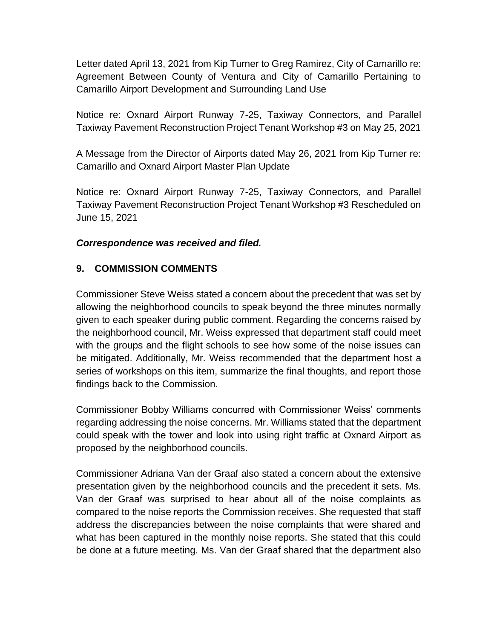Letter dated April 13, 2021 from Kip Turner to Greg Ramirez, City of Camarillo re: Agreement Between County of Ventura and City of Camarillo Pertaining to Camarillo Airport Development and Surrounding Land Use

Notice re: Oxnard Airport Runway 7-25, Taxiway Connectors, and Parallel Taxiway Pavement Reconstruction Project Tenant Workshop #3 on May 25, 2021

A Message from the Director of Airports dated May 26, 2021 from Kip Turner re: Camarillo and Oxnard Airport Master Plan Update

Notice re: Oxnard Airport Runway 7-25, Taxiway Connectors, and Parallel Taxiway Pavement Reconstruction Project Tenant Workshop #3 Rescheduled on June 15, 2021

### *Correspondence was received and filed.*

### **9. COMMISSION COMMENTS**

Commissioner Steve Weiss stated a concern about the precedent that was set by allowing the neighborhood councils to speak beyond the three minutes normally given to each speaker during public comment. Regarding the concerns raised by the neighborhood council, Mr. Weiss expressed that department staff could meet with the groups and the flight schools to see how some of the noise issues can be mitigated. Additionally, Mr. Weiss recommended that the department host a series of workshops on this item, summarize the final thoughts, and report those findings back to the Commission.

Commissioner Bobby Williams concurred with Commissioner Weiss' comments regarding addressing the noise concerns. Mr. Williams stated that the department could speak with the tower and look into using right traffic at Oxnard Airport as proposed by the neighborhood councils.

Commissioner Adriana Van der Graaf also stated a concern about the extensive presentation given by the neighborhood councils and the precedent it sets. Ms. Van der Graaf was surprised to hear about all of the noise complaints as compared to the noise reports the Commission receives. She requested that staff address the discrepancies between the noise complaints that were shared and what has been captured in the monthly noise reports. She stated that this could be done at a future meeting. Ms. Van der Graaf shared that the department also